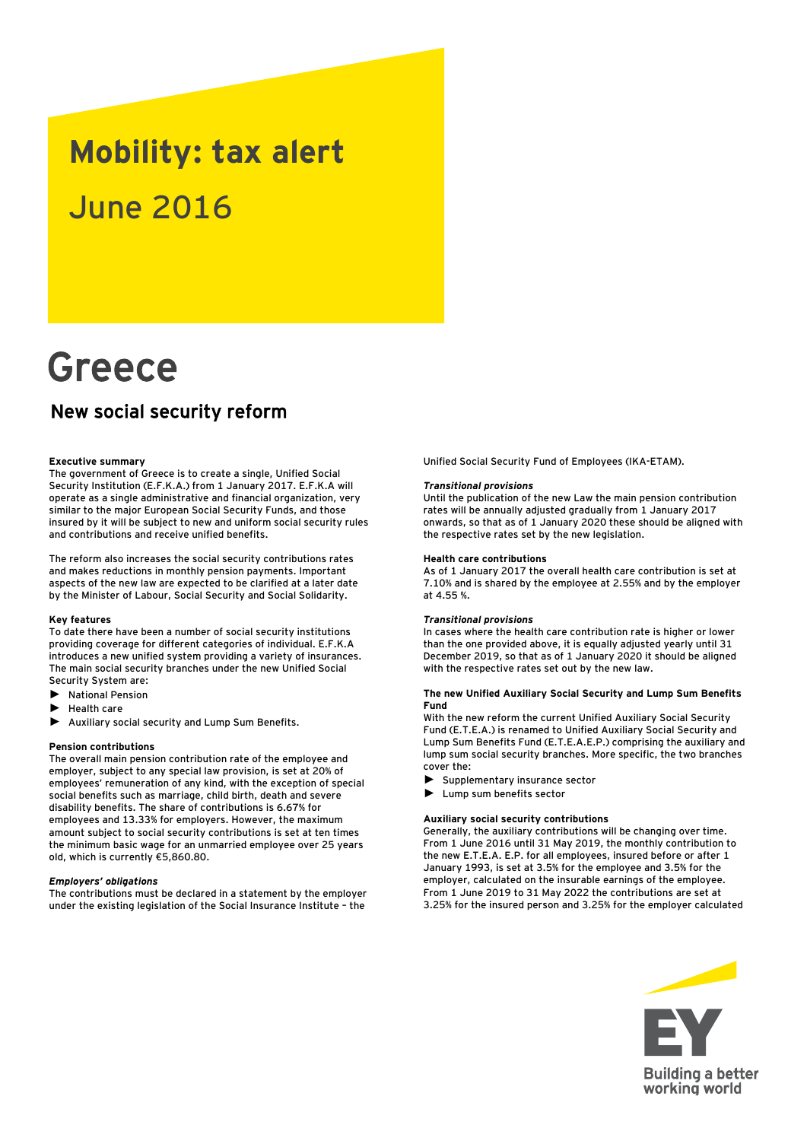# **Mobility: tax alert** June 2016

# Greece

# New social security reform

# **Executive summary**

The government of Greece is to create a single, Unified Social Security Institution (E.F.K.A.) from 1 January 2017. E.F.K.A will operate as a single administrative and financial organization, very similar to the major European Social Security Funds, and those insured by it will be subject to new and uniform social security rules and contributions and receive unified benefits.

The reform also increases the social security contributions rates and makes reductions in monthly pension payments. Important aspects of the new law are expected to be clarified at a later date by the Minister of Labour, Social Security and Social Solidarity.

#### **Key features**

To date there have been a number of social security institutions providing coverage for different categories of individual. E.F.K.A introduces a new unified system providing a variety of insurances. The main social security branches under the new Unified Social Security System are:

- ► National Pension
- ► Health care
- ► Auxiliary social security and Lump Sum Benefits.

#### **Pension contributions**

The overall main pension contribution rate of the employee and employer, subject to any special law provision, is set at 20% of employees' remuneration of any kind, with the exception of special social benefits such as marriage, child birth, death and severe disability benefits. The share of contributions is 6.67% for employees and 13.33% for employers. However, the maximum amount subject to social security contributions is set at ten times the minimum basic wage for an unmarried employee over 25 years old, which is currently €5,860.80.

# *Employers' obligations*

The contributions must be declared in a statement by the employer under the existing legislation of the Social Insurance Institute – the

Unified Social Security Fund of Employees (IKA-ETAM).

#### *Transitional provisions*

Until the publication of the new Law the main pension contribution rates will be annually adjusted gradually from 1 January 2017 onwards, so that as of 1 January 2020 these should be aligned with the respective rates set by the new legislation.

# **Health care contributions**

As of 1 January 2017 the overall health care contribution is set at 7.10% and is shared by the employee at 2.55% and by the employer at 4.55 %.

#### *Transitional provisions*

In cases where the health care contribution rate is higher or lower than the one provided above, it is equally adjusted yearly until 31 December 2019, so that as of 1 January 2020 it should be aligned with the respective rates set out by the new law.

### **The new Unified Auxiliary Social Security and Lump Sum Benefits Fund**

With the new reform the current Unified Auxiliary Social Security Fund (E.T.E.A.) is renamed to Unified Auxiliary Social Security and Lump Sum Benefits Fund (E.T.E.A.E.P.) comprising the auxiliary and lump sum social security branches. More specific, the two branches cover the:

- ► Supplementary insurance sector
- ► Lump sum benefits sector

#### **Auxiliary social security contributions**

Generally, the auxiliary contributions will be changing over time. From 1 June 2016 until 31 May 2019, the monthly contribution to the new Ε.Τ.Ε.Α. E.P. for all employees, insured before or after 1 January 1993, is set at 3.5% for the employee and 3.5% for the employer, calculated on the insurable earnings of the employee. From 1 June 2019 to 31 May 2022 the contributions are set at 3.25% for the insured person and 3.25% for the employer calculated